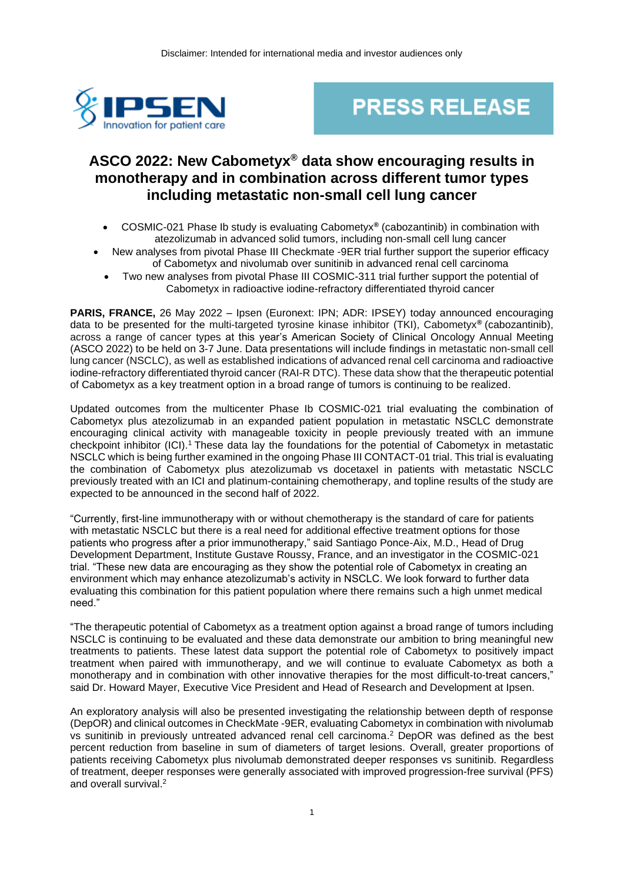

# **PRESS RELEASE**

# **ASCO 2022: New Cabometyx® data show encouraging results in monotherapy and in combination across different tumor types including metastatic non-small cell lung cancer**

- COSMIC-021 Phase Ib study is evaluating Cabometyx**®** (cabozantinib) in combination with atezolizumab in advanced solid tumors, including non-small cell lung cancer
- New analyses from pivotal Phase III Checkmate -9ER trial further support the superior efficacy of Cabometyx and nivolumab over sunitinib in advanced renal cell carcinoma
	- Two new analyses from pivotal Phase III COSMIC-311 trial further support the potential of Cabometyx in radioactive iodine-refractory differentiated thyroid cancer

**PARIS, FRANCE,** 26 May 2022 – Ipsen (Euronext: IPN; ADR: IPSEY) today announced encouraging data to be presented for the multi-targeted tyrosine kinase inhibitor (TKI), Cabometyx**®** (cabozantinib), across a range of cancer types at this year's American Society of Clinical Oncology Annual Meeting (ASCO 2022) to be held on 3-7 June. Data presentations will include findings in metastatic non-small cell lung cancer (NSCLC), as well as established indications of advanced renal cell carcinoma and radioactive iodine-refractory differentiated thyroid cancer (RAI-R DTC). These data show that the therapeutic potential of Cabometyx as a key treatment option in a broad range of tumors is continuing to be realized.

Updated outcomes from the multicenter Phase Ib COSMIC-021 trial evaluating the combination of Cabometyx plus atezolizumab in an expanded patient population in metastatic NSCLC demonstrate encouraging clinical activity with manageable toxicity in people previously treated with an immune checkpoint inhibitor (ICI).<sup>1</sup> These data lay the foundations for the potential of Cabometyx in metastatic NSCLC which is being further examined in the ongoing Phase III CONTACT-01 trial. This trial is evaluating the combination of Cabometyx plus atezolizumab vs docetaxel in patients with metastatic NSCLC previously treated with an ICI and platinum-containing chemotherapy, and topline results of the study are expected to be announced in the second half of 2022.

"Currently, first-line immunotherapy with or without chemotherapy is the standard of care for patients with metastatic NSCLC but there is a real need for additional effective treatment options for those patients who progress after a prior immunotherapy," said Santiago Ponce-Aix, M.D., Head of Drug Development Department, Institute Gustave Roussy, France, and an investigator in the COSMIC-021 trial. "These new data are encouraging as they show the potential role of Cabometyx in creating an environment which may enhance atezolizumab's activity in NSCLC. We look forward to further data evaluating this combination for this patient population where there remains such a high unmet medical need."

"The therapeutic potential of Cabometyx as a treatment option against a broad range of tumors including NSCLC is continuing to be evaluated and these data demonstrate our ambition to bring meaningful new treatments to patients. These latest data support the potential role of Cabometyx to positively impact treatment when paired with immunotherapy, and we will continue to evaluate Cabometyx as both a monotherapy and in combination with other innovative therapies for the most difficult-to-treat cancers," said Dr. Howard Mayer, Executive Vice President and Head of Research and Development at Ipsen.

An exploratory analysis will also be presented investigating the relationship between depth of response (DepOR) and clinical outcomes in CheckMate -9ER, evaluating Cabometyx in combination with nivolumab vs sunitinib in previously untreated advanced renal cell carcinoma. <sup>2</sup> DepOR was defined as the best percent reduction from baseline in sum of diameters of target lesions. Overall, greater proportions of patients receiving Cabometyx plus nivolumab demonstrated deeper responses vs sunitinib. Regardless of treatment, deeper responses were generally associated with improved progression-free survival (PFS) and overall survival. 2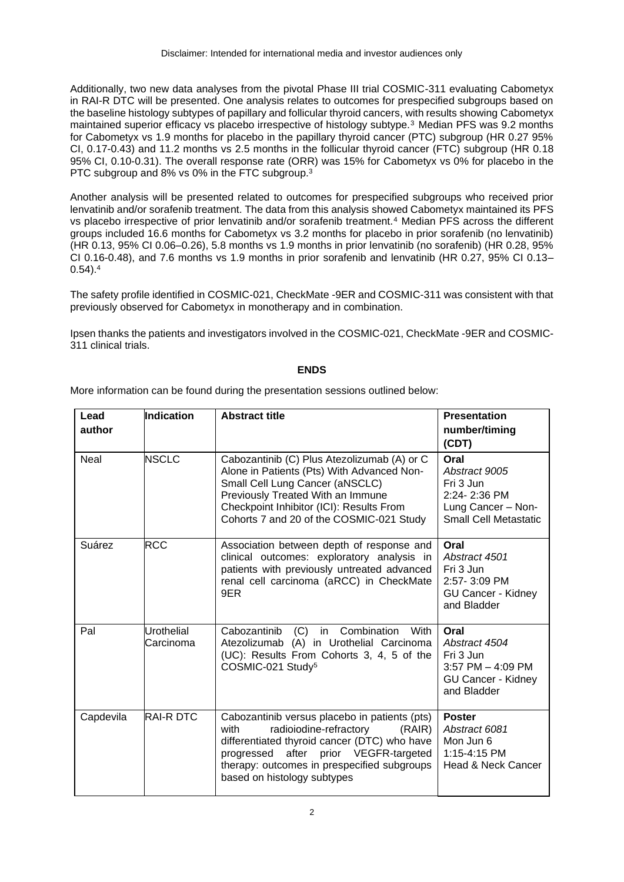Additionally, two new data analyses from the pivotal Phase III trial COSMIC-311 evaluating Cabometyx in RAI-R DTC will be presented. One analysis relates to outcomes for prespecified subgroups based on the baseline histology subtypes of papillary and follicular thyroid cancers, with results showing Cabometyx maintained superior efficacy vs placebo irrespective of histology subtype.<sup>3</sup> Median PFS was 9.2 months for Cabometyx vs 1.9 months for placebo in the papillary thyroid cancer (PTC) subgroup (HR 0.27 95% CI, 0.17-0.43) and 11.2 months vs 2.5 months in the follicular thyroid cancer (FTC) subgroup (HR 0.18 95% CI, 0.10-0.31). The overall response rate (ORR) was 15% for Cabometyx vs 0% for placebo in the PTC subgroup and 8% vs 0% in the FTC subgroup.<sup>3</sup>

Another analysis will be presented related to outcomes for prespecified subgroups who received prior lenvatinib and/or sorafenib treatment. The data from this analysis showed Cabometyx maintained its PFS vs placebo irrespective of prior lenvatinib and/or sorafenib treatment.<sup>4</sup> Median PFS across the different groups included 16.6 months for Cabometyx vs 3.2 months for placebo in prior sorafenib (no lenvatinib) (HR 0.13, 95% CI 0.06–0.26), 5.8 months vs 1.9 months in prior lenvatinib (no sorafenib) (HR 0.28, 95% CI 0.16-0.48), and 7.6 months vs 1.9 months in prior sorafenib and lenvatinib (HR 0.27, 95% CI 0.13–  $0.54$ ). $4$ 

The safety profile identified in COSMIC-021, CheckMate -9ER and COSMIC-311 was consistent with that previously observed for Cabometyx in monotherapy and in combination.

Ipsen thanks the patients and investigators involved in the COSMIC-021, CheckMate -9ER and COSMIC-311 clinical trials.

# **ENDS**

More information can be found during the presentation sessions outlined below:

| Lead<br>author | Indication              | <b>Abstract title</b>                                                                                                                                                                                                                                               | <b>Presentation</b><br>number/timing<br>(CDT)                                                            |
|----------------|-------------------------|---------------------------------------------------------------------------------------------------------------------------------------------------------------------------------------------------------------------------------------------------------------------|----------------------------------------------------------------------------------------------------------|
| <b>Neal</b>    | <b>NSCLC</b>            | Cabozantinib (C) Plus Atezolizumab (A) or C<br>Alone in Patients (Pts) With Advanced Non-<br>Small Cell Lung Cancer (aNSCLC)<br>Previously Treated With an Immune<br>Checkpoint Inhibitor (ICI): Results From<br>Cohorts 7 and 20 of the COSMIC-021 Study           | Oral<br>Abstract 9005<br>Fri 3 Jun<br>2:24-2:36 PM<br>Lung Cancer - Non-<br><b>Small Cell Metastatic</b> |
| Suárez         | <b>RCC</b>              | Association between depth of response and<br>clinical outcomes: exploratory analysis in<br>patients with previously untreated advanced<br>renal cell carcinoma (aRCC) in CheckMate<br>9ER                                                                           | Oral<br>Abstract 4501<br>Fri 3 Jun<br>2:57-3:09 PM<br><b>GU Cancer - Kidney</b><br>and Bladder           |
| Pal            | Urothelial<br>Carcinoma | (C)<br>Cabozantinib<br>in Combination<br>With<br>Atezolizumab (A) in Urothelial Carcinoma<br>(UC): Results From Cohorts 3, 4, 5 of the<br>COSMIC-021 Study <sup>5</sup>                                                                                             | Oral<br>Abstract 4504<br>Fri 3 Jun<br>$3:57$ PM $-$ 4:09 PM<br><b>GU Cancer - Kidney</b><br>and Bladder  |
| Capdevila      | <b>RAI-R DTC</b>        | Cabozantinib versus placebo in patients (pts)<br>radioiodine-refractory<br>with<br>(RAIR)<br>differentiated thyroid cancer (DTC) who have<br>progressed after<br>prior VEGFR-targeted<br>therapy: outcomes in prespecified subgroups<br>based on histology subtypes | <b>Poster</b><br>Abstract 6081<br>Mon Jun 6<br>1:15-4:15 PM<br><b>Head &amp; Neck Cancer</b>             |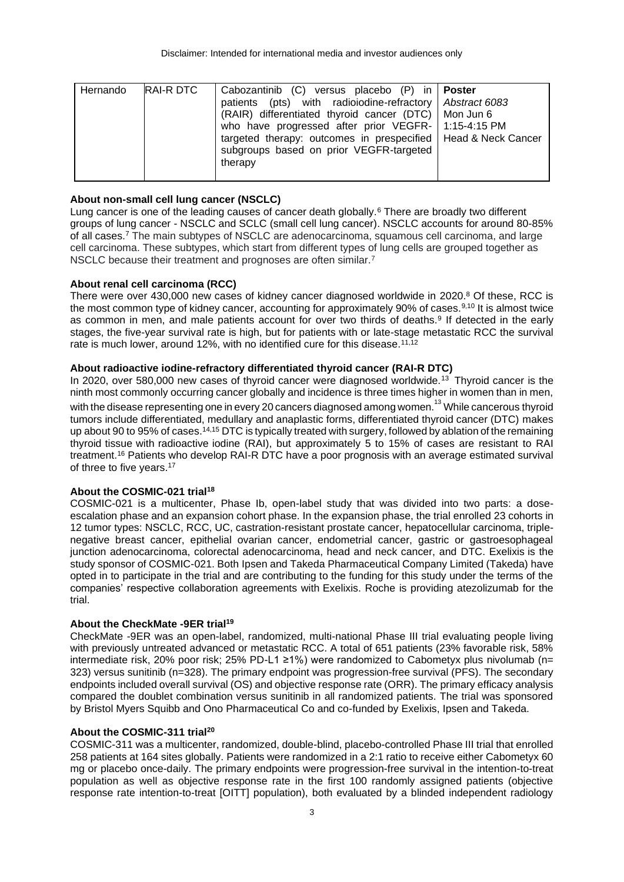### **About non-small cell lung cancer (NSCLC)**

Lung cancer is one of the leading causes of cancer death globally.<sup>6</sup> There are broadly two different groups of lung cancer - NSCLC and SCLC (small cell lung cancer). NSCLC accounts for around 80-85% of all cases.<sup>7</sup> The main subtypes of NSCLC are adenocarcinoma, squamous cell carcinoma, and large cell carcinoma. These subtypes, which start from different types of lung cells are grouped together as NSCLC because their treatment and prognoses are often similar.<sup>7</sup>

### **About renal cell carcinoma (RCC)**

There were over 430,000 new cases of kidney cancer diagnosed worldwide in 2020.<sup>8</sup> Of these, RCC is the most common type of kidney cancer, accounting for approximately 90% of cases.<sup>9,10</sup> It is almost twice as common in men, and male patients account for over two thirds of deaths.<sup>9</sup> If detected in the early stages, the five-year survival rate is high, but for patients with or late-stage metastatic RCC the survival rate is much lower, around 12%, with no identified cure for this disease.<sup>11,12</sup>

### **About radioactive iodine-refractory differentiated thyroid cancer (RAI-R DTC)**

In 2020, over 580,000 new cases of thyroid cancer were diagnosed worldwide.<sup>13</sup> Thyroid cancer is the ninth most commonly occurring cancer globally and incidence is three times higher in women than in men,

with the disease representing one in every 20 cancers diagnosed among women.<sup>13</sup> While cancerous thyroid tumors include differentiated, medullary and anaplastic forms, differentiated thyroid cancer (DTC) makes up about 90 to 95% of cases.14,15 DTC is typically treated with surgery, followed by ablation of the remaining thyroid tissue with radioactive iodine (RAI), but approximately 5 to 15% of cases are resistant to RAI treatment.<sup>16</sup> Patients who develop RAI-R DTC have a poor prognosis with an average estimated survival of three to five years.<sup>17</sup>

# **About the COSMIC-021 trial<sup>18</sup>**

COSMIC-021 is a multicenter, Phase Ib, open-label study that was divided into two parts: a doseescalation phase and an expansion cohort phase. In the expansion phase, the trial enrolled 23 cohorts in 12 tumor types: NSCLC, RCC, UC, castration-resistant prostate cancer, hepatocellular carcinoma, triplenegative breast cancer, epithelial ovarian cancer, endometrial cancer, gastric or gastroesophageal junction adenocarcinoma, colorectal adenocarcinoma, head and neck cancer, and DTC. Exelixis is the study sponsor of COSMIC-021. Both Ipsen and Takeda Pharmaceutical Company Limited (Takeda) have opted in to participate in the trial and are contributing to the funding for this study under the terms of the companies' respective collaboration agreements with Exelixis. Roche is providing atezolizumab for the trial.

#### **About the CheckMate -9ER trial<sup>19</sup>**

CheckMate -9ER was an open-label, randomized, multi-national Phase III trial evaluating people living with previously untreated advanced or metastatic RCC. A total of 651 patients (23% favorable risk, 58% intermediate risk, 20% poor risk; 25% PD-L1 ≥1%) were randomized to Cabometyx plus nivolumab (n= 323) versus sunitinib (n=328). The primary endpoint was progression-free survival (PFS). The secondary endpoints included overall survival (OS) and objective response rate (ORR). The primary efficacy analysis compared the doublet combination versus sunitinib in all randomized patients. The trial was sponsored by Bristol Myers Squibb and Ono Pharmaceutical Co and co-funded by Exelixis, Ipsen and Takeda.

#### **About the COSMIC-311 trial<sup>20</sup>**

COSMIC-311 was a multicenter, randomized, double-blind, placebo-controlled Phase III trial that enrolled 258 patients at 164 sites globally. Patients were randomized in a 2:1 ratio to receive either Cabometyx 60 mg or placebo once-daily. The primary endpoints were progression-free survival in the intention-to-treat population as well as objective response rate in the first 100 randomly assigned patients (objective response rate intention-to-treat [OITT] population), both evaluated by a blinded independent radiology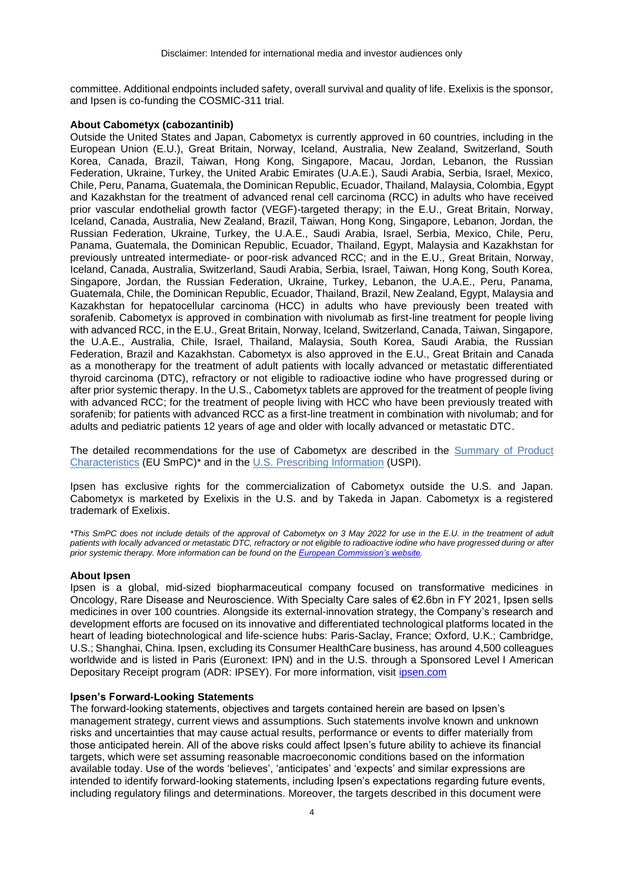committee. Additional endpoints included safety, overall survival and quality of life. Exelixis is the sponsor, and Ipsen is co-funding the COSMIC-311 trial.

# **About Cabometyx (cabozantinib)**

Outside the United States and Japan, Cabometyx is currently approved in 60 countries, including in the European Union (E.U.), Great Britain, Norway, Iceland, Australia, New Zealand, Switzerland, South Korea, Canada, Brazil, Taiwan, Hong Kong, Singapore, Macau, Jordan, Lebanon, the Russian Federation, Ukraine, Turkey, the United Arabic Emirates (U.A.E.), Saudi Arabia, Serbia, Israel, Mexico, Chile, Peru, Panama, Guatemala, the Dominican Republic, Ecuador, Thailand, Malaysia, Colombia, Egypt and Kazakhstan for the treatment of advanced renal cell carcinoma (RCC) in adults who have received prior vascular endothelial growth factor (VEGF)-targeted therapy; in the E.U., Great Britain, Norway, Iceland, Canada, Australia, New Zealand, Brazil, Taiwan, Hong Kong, Singapore, Lebanon, Jordan, the Russian Federation, Ukraine, Turkey, the U.A.E., Saudi Arabia, Israel, Serbia, Mexico, Chile, Peru, Panama, Guatemala, the Dominican Republic, Ecuador, Thailand, Egypt, Malaysia and Kazakhstan for previously untreated intermediate- or poor-risk advanced RCC; and in the E.U., Great Britain, Norway, Iceland, Canada, Australia, Switzerland, Saudi Arabia, Serbia, Israel, Taiwan, Hong Kong, South Korea, Singapore, Jordan, the Russian Federation, Ukraine, Turkey, Lebanon, the U.A.E., Peru, Panama, Guatemala, Chile, the Dominican Republic, Ecuador, Thailand, Brazil, New Zealand, Egypt, Malaysia and Kazakhstan for hepatocellular carcinoma (HCC) in adults who have previously been treated with sorafenib. Cabometyx is approved in combination with nivolumab as first-line treatment for people living with advanced RCC, in the E.U., Great Britain, Norway, Iceland, Switzerland, Canada, Taiwan, Singapore, the U.A.E., Australia, Chile, Israel, Thailand, Malaysia, South Korea, Saudi Arabia, the Russian Federation, Brazil and Kazakhstan. Cabometyx is also approved in the E.U., Great Britain and Canada as a monotherapy for the treatment of adult patients with locally advanced or metastatic differentiated thyroid carcinoma (DTC), refractory or not eligible to radioactive iodine who have progressed during or after prior systemic therapy. In the U.S., Cabometyx tablets are approved for the treatment of people living with advanced RCC; for the treatment of people living with HCC who have been previously treated with sorafenib; for patients with advanced RCC as a first-line treatment in combination with nivolumab; and for adults and pediatric patients 12 years of age and older with locally advanced or metastatic DTC.

The detailed recommendations for the use of Cabometyx are described in the [Summary of Product](https://www.ema.europa.eu/en/medicines/human/EPAR/cabometyx)  [Characteristics](https://www.ema.europa.eu/en/medicines/human/EPAR/cabometyx) (EU SmPC)\* and in the [U.S. Prescribing Information](https://cabometyx.com/downloads/CABOMETYXUSPI.pdf) (USPI).

Ipsen has exclusive rights for the commercialization of Cabometyx outside the U.S. and Japan. Cabometyx is marketed by Exelixis in the U.S. and by Takeda in Japan. Cabometyx is a registered trademark of Exelixis.

*\*This SmPC does not include details of the approval of Cabometyx on 3 May 2022 for use in the E.U. in the treatment of adult patients with locally advanced or metastatic DTC, refractory or not eligible to radioactive iodine who have progressed during or after prior systemic therapy. More information can be found on the [European Commission's website.](https://ec.europa.eu/health/documents/community-register/html/h1136.htm)*

# **About Ipsen**

Ipsen is a global, mid-sized biopharmaceutical company focused on transformative medicines in Oncology, Rare Disease and Neuroscience. With Specialty Care sales of €2.6bn in FY 2021, Ipsen sells medicines in over 100 countries. Alongside its external-innovation strategy, the Company's research and development efforts are focused on its innovative and differentiated technological platforms located in the heart of leading biotechnological and life-science hubs: Paris-Saclay, France; Oxford, U.K.; Cambridge, U.S.; Shanghai, China. Ipsen, excluding its Consumer HealthCare business, has around 4,500 colleagues worldwide and is listed in Paris (Euronext: IPN) and in the U.S. through a Sponsored Level I American Depositary Receipt program (ADR: IPSEY). For more information, visit [ipsen.com](https://www.ipsen.com/)

#### **Ipsen's Forward-Looking Statements**

The forward-looking statements, objectives and targets contained herein are based on Ipsen's management strategy, current views and assumptions. Such statements involve known and unknown risks and uncertainties that may cause actual results, performance or events to differ materially from those anticipated herein. All of the above risks could affect Ipsen's future ability to achieve its financial targets, which were set assuming reasonable macroeconomic conditions based on the information available today. Use of the words 'believes', 'anticipates' and 'expects' and similar expressions are intended to identify forward-looking statements, including Ipsen's expectations regarding future events, including regulatory filings and determinations. Moreover, the targets described in this document were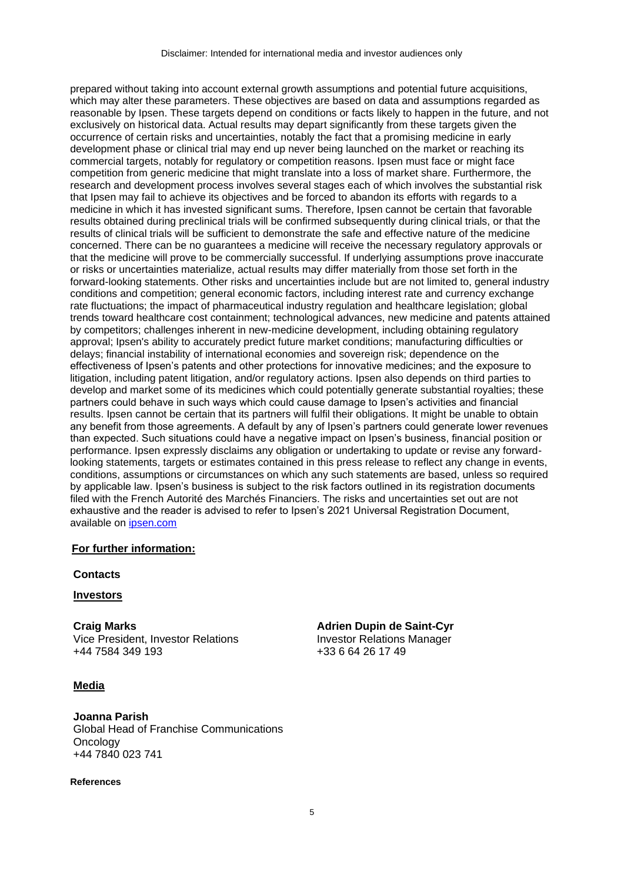prepared without taking into account external growth assumptions and potential future acquisitions, which may alter these parameters. These objectives are based on data and assumptions regarded as reasonable by Ipsen. These targets depend on conditions or facts likely to happen in the future, and not exclusively on historical data. Actual results may depart significantly from these targets given the occurrence of certain risks and uncertainties, notably the fact that a promising medicine in early development phase or clinical trial may end up never being launched on the market or reaching its commercial targets, notably for regulatory or competition reasons. Ipsen must face or might face competition from generic medicine that might translate into a loss of market share. Furthermore, the research and development process involves several stages each of which involves the substantial risk that Ipsen may fail to achieve its objectives and be forced to abandon its efforts with regards to a medicine in which it has invested significant sums. Therefore, Ipsen cannot be certain that favorable results obtained during preclinical trials will be confirmed subsequently during clinical trials, or that the results of clinical trials will be sufficient to demonstrate the safe and effective nature of the medicine concerned. There can be no guarantees a medicine will receive the necessary regulatory approvals or that the medicine will prove to be commercially successful. If underlying assumptions prove inaccurate or risks or uncertainties materialize, actual results may differ materially from those set forth in the forward-looking statements. Other risks and uncertainties include but are not limited to, general industry conditions and competition; general economic factors, including interest rate and currency exchange rate fluctuations; the impact of pharmaceutical industry regulation and healthcare legislation; global trends toward healthcare cost containment; technological advances, new medicine and patents attained by competitors; challenges inherent in new-medicine development, including obtaining regulatory approval; Ipsen's ability to accurately predict future market conditions; manufacturing difficulties or delays; financial instability of international economies and sovereign risk; dependence on the effectiveness of Ipsen's patents and other protections for innovative medicines; and the exposure to litigation, including patent litigation, and/or regulatory actions. Ipsen also depends on third parties to develop and market some of its medicines which could potentially generate substantial royalties; these partners could behave in such ways which could cause damage to Ipsen's activities and financial results. Ipsen cannot be certain that its partners will fulfil their obligations. It might be unable to obtain any benefit from those agreements. A default by any of Ipsen's partners could generate lower revenues than expected. Such situations could have a negative impact on Ipsen's business, financial position or performance. Ipsen expressly disclaims any obligation or undertaking to update or revise any forwardlooking statements, targets or estimates contained in this press release to reflect any change in events, conditions, assumptions or circumstances on which any such statements are based, unless so required by applicable law. Ipsen's business is subject to the risk factors outlined in its registration documents filed with the French Autorité des Marchés Financiers. The risks and uncertainties set out are not exhaustive and the reader is advised to refer to Ipsen's 2021 Universal Registration Document, available on [ipsen.com](https://www.ipsen.com/)

# **For further information:**

#### **Contacts**

#### **Investors**

**Craig Marks** Vice President, Investor Relations +44 7584 349 193

# **Media**

**Joanna Parish** Global Head of Franchise Communications **Oncology** +44 7840 023 741

#### **References**

**Adrien Dupin de Saint-Cyr** Investor Relations Manager +33 6 64 26 17 49